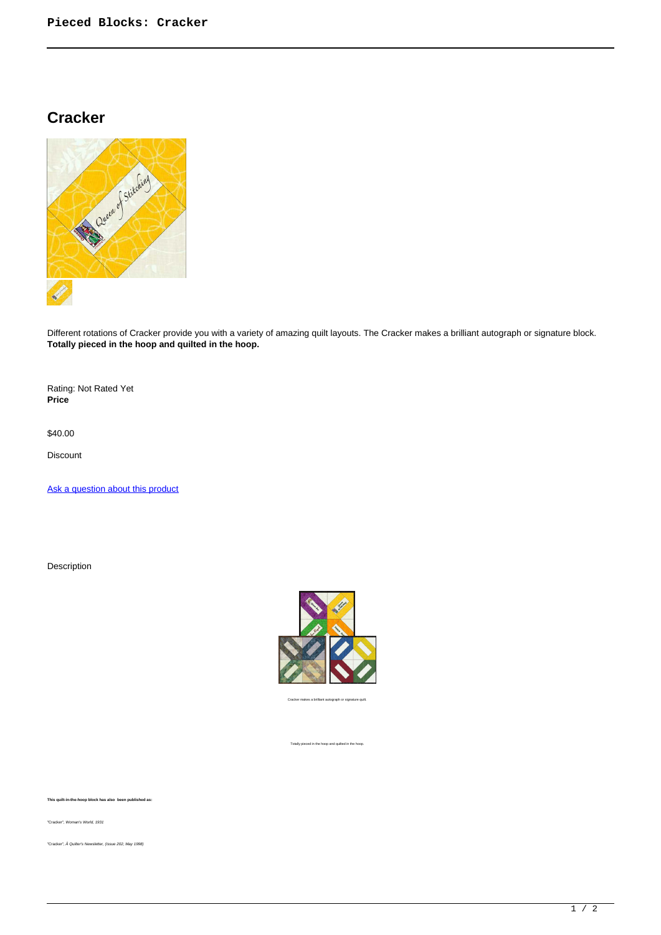## **Cracker**



Different rotations of Cracker provide you with a variety of amazing quilt layouts. The Cracker makes a brilliant autograph or signature block. **Totally pieced in the hoop and quilted in the hoop.**

Rating: Not Rated Yet **Price** 

\$40.00

Discount

[Ask a question about this product](https://www.queenofstitching.com/index.php?option=com_virtuemart&view=productdetails&task=askquestion&virtuemart_product_id=101&virtuemart_category_id=12&tmpl=component)

Description



Cracker makes a brilliant autograph or signature quilt.

Totally pieced in the hoop and quilted in the hoop.

**This quilt-in-the-hoop block has also been published as:**

"Cracker", Woman's World, 1931

"Cracker", Â Quilter's Newsletter, (Issue 202, May 1998)